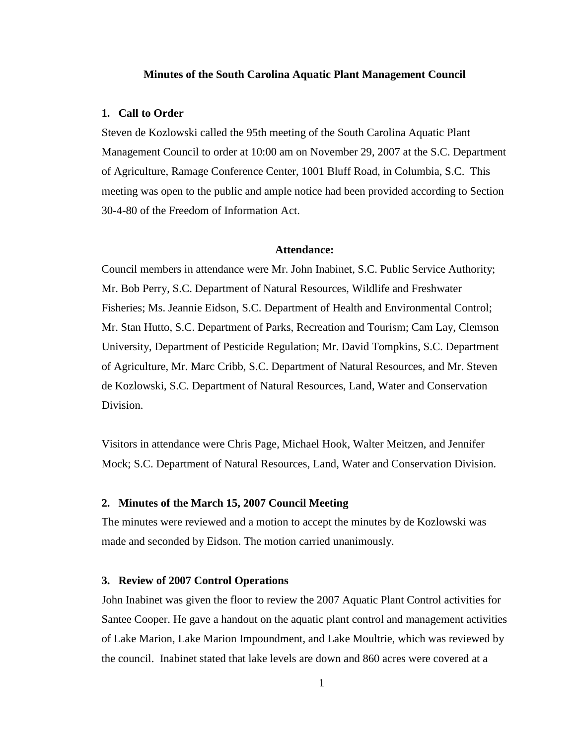#### **Minutes of the South Carolina Aquatic Plant Management Council**

## **1. Call to Order**

Steven de Kozlowski called the 95th meeting of the South Carolina Aquatic Plant Management Council to order at 10:00 am on November 29, 2007 at the S.C. Department of Agriculture, Ramage Conference Center, 1001 Bluff Road, in Columbia, S.C. This meeting was open to the public and ample notice had been provided according to Section 30-4-80 of the Freedom of Information Act.

# **Attendance:**

Council members in attendance were Mr. John Inabinet, S.C. Public Service Authority; Mr. Bob Perry, S.C. Department of Natural Resources, Wildlife and Freshwater Fisheries; Ms. Jeannie Eidson, S.C. Department of Health and Environmental Control; Mr. Stan Hutto, S.C. Department of Parks, Recreation and Tourism; Cam Lay, Clemson University, Department of Pesticide Regulation; Mr. David Tompkins, S.C. Department of Agriculture, Mr. Marc Cribb, S.C. Department of Natural Resources, and Mr. Steven de Kozlowski, S.C. Department of Natural Resources, Land, Water and Conservation Division.

Visitors in attendance were Chris Page, Michael Hook, Walter Meitzen, and Jennifer Mock; S.C. Department of Natural Resources, Land, Water and Conservation Division.

# **2. Minutes of the March 15, 2007 Council Meeting**

The minutes were reviewed and a motion to accept the minutes by de Kozlowski was made and seconded by Eidson. The motion carried unanimously.

#### **3. Review of 2007 Control Operations**

John Inabinet was given the floor to review the 2007 Aquatic Plant Control activities for Santee Cooper. He gave a handout on the aquatic plant control and management activities of Lake Marion, Lake Marion Impoundment, and Lake Moultrie, which was reviewed by the council. Inabinet stated that lake levels are down and 860 acres were covered at a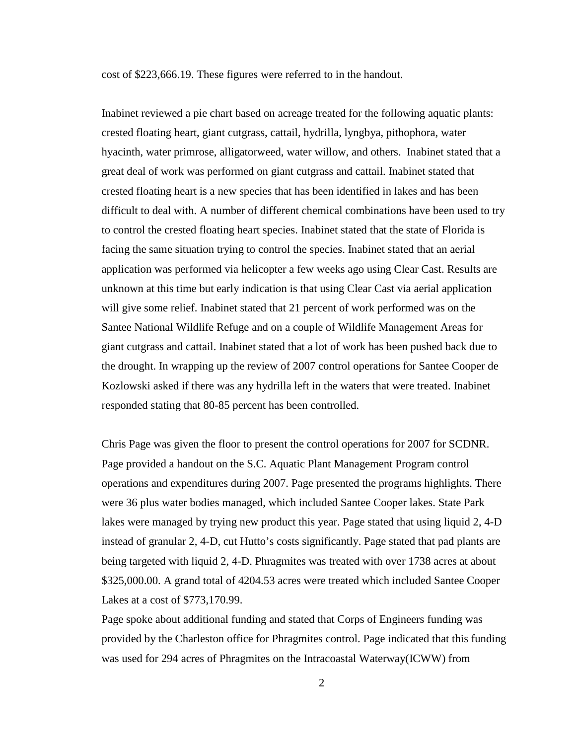cost of \$223,666.19. These figures were referred to in the handout.

Inabinet reviewed a pie chart based on acreage treated for the following aquatic plants: crested floating heart, giant cutgrass, cattail, hydrilla, lyngbya, pithophora, water hyacinth, water primrose, alligatorweed, water willow, and others. Inabinet stated that a great deal of work was performed on giant cutgrass and cattail. Inabinet stated that crested floating heart is a new species that has been identified in lakes and has been difficult to deal with. A number of different chemical combinations have been used to try to control the crested floating heart species. Inabinet stated that the state of Florida is facing the same situation trying to control the species. Inabinet stated that an aerial application was performed via helicopter a few weeks ago using Clear Cast. Results are unknown at this time but early indication is that using Clear Cast via aerial application will give some relief. Inabinet stated that 21 percent of work performed was on the Santee National Wildlife Refuge and on a couple of Wildlife Management Areas for giant cutgrass and cattail. Inabinet stated that a lot of work has been pushed back due to the drought. In wrapping up the review of 2007 control operations for Santee Cooper de Kozlowski asked if there was any hydrilla left in the waters that were treated. Inabinet responded stating that 80-85 percent has been controlled.

Chris Page was given the floor to present the control operations for 2007 for SCDNR. Page provided a handout on the S.C. Aquatic Plant Management Program control operations and expenditures during 2007. Page presented the programs highlights. There were 36 plus water bodies managed, which included Santee Cooper lakes. State Park lakes were managed by trying new product this year. Page stated that using liquid 2, 4-D instead of granular 2, 4-D, cut Hutto's costs significantly. Page stated that pad plants are being targeted with liquid 2, 4-D. Phragmites was treated with over 1738 acres at about \$325,000.00. A grand total of 4204.53 acres were treated which included Santee Cooper Lakes at a cost of \$773,170.99.

Page spoke about additional funding and stated that Corps of Engineers funding was provided by the Charleston office for Phragmites control. Page indicated that this funding was used for 294 acres of Phragmites on the Intracoastal Waterway(ICWW) from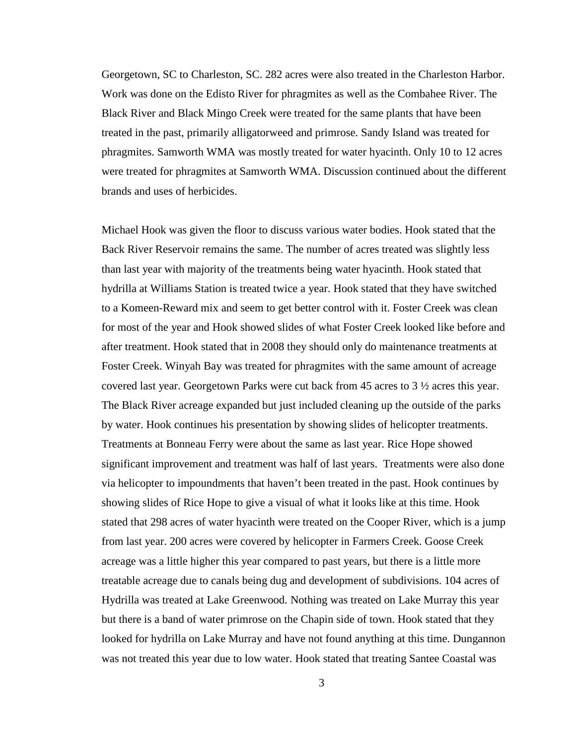Georgetown, SC to Charleston, SC. 282 acres were also treated in the Charleston Harbor. Work was done on the Edisto River for phragmites as well as the Combahee River. The Black River and Black Mingo Creek were treated for the same plants that have been treated in the past, primarily alligatorweed and primrose. Sandy Island was treated for phragmites. Samworth WMA was mostly treated for water hyacinth. Only 10 to 12 acres were treated for phragmites at Samworth WMA. Discussion continued about the different brands and uses of herbicides.

Michael Hook was given the floor to discuss various water bodies. Hook stated that the Back River Reservoir remains the same. The number of acres treated was slightly less than last year with majority of the treatments being water hyacinth. Hook stated that hydrilla at Williams Station is treated twice a year. Hook stated that they have switched to a Komeen-Reward mix and seem to get better control with it. Foster Creek was clean for most of the year and Hook showed slides of what Foster Creek looked like before and after treatment. Hook stated that in 2008 they should only do maintenance treatments at Foster Creek. Winyah Bay was treated for phragmites with the same amount of acreage covered last year. Georgetown Parks were cut back from 45 acres to 3 ½ acres this year. The Black River acreage expanded but just included cleaning up the outside of the parks by water. Hook continues his presentation by showing slides of helicopter treatments. Treatments at Bonneau Ferry were about the same as last year. Rice Hope showed significant improvement and treatment was half of last years. Treatments were also done via helicopter to impoundments that haven't been treated in the past. Hook continues by showing slides of Rice Hope to give a visual of what it looks like at this time. Hook stated that 298 acres of water hyacinth were treated on the Cooper River, which is a jump from last year. 200 acres were covered by helicopter in Farmers Creek. Goose Creek acreage was a little higher this year compared to past years, but there is a little more treatable acreage due to canals being dug and development of subdivisions. 104 acres of Hydrilla was treated at Lake Greenwood. Nothing was treated on Lake Murray this year but there is a band of water primrose on the Chapin side of town. Hook stated that they looked for hydrilla on Lake Murray and have not found anything at this time. Dungannon was not treated this year due to low water. Hook stated that treating Santee Coastal was

3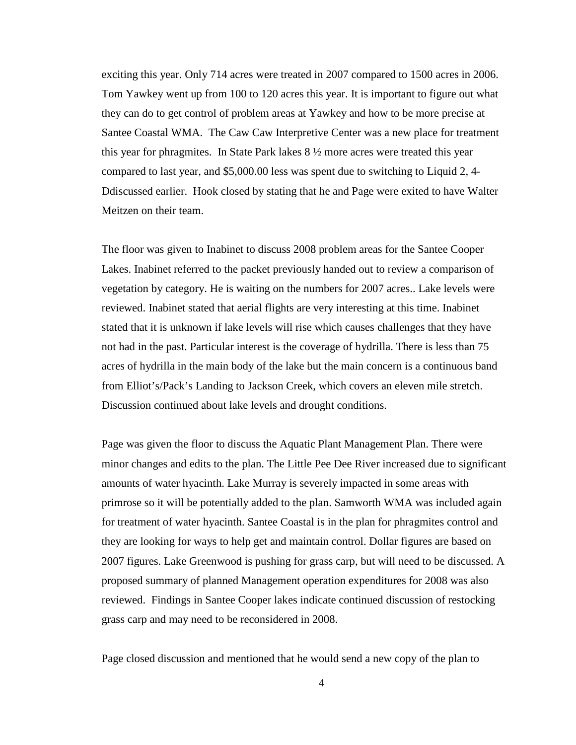exciting this year. Only 714 acres were treated in 2007 compared to 1500 acres in 2006. Tom Yawkey went up from 100 to 120 acres this year. It is important to figure out what they can do to get control of problem areas at Yawkey and how to be more precise at Santee Coastal WMA. The Caw Caw Interpretive Center was a new place for treatment this year for phragmites. In State Park lakes 8 ½ more acres were treated this year compared to last year, and \$5,000.00 less was spent due to switching to Liquid 2, 4- Ddiscussed earlier. Hook closed by stating that he and Page were exited to have Walter Meitzen on their team.

The floor was given to Inabinet to discuss 2008 problem areas for the Santee Cooper Lakes. Inabinet referred to the packet previously handed out to review a comparison of vegetation by category. He is waiting on the numbers for 2007 acres.. Lake levels were reviewed. Inabinet stated that aerial flights are very interesting at this time. Inabinet stated that it is unknown if lake levels will rise which causes challenges that they have not had in the past. Particular interest is the coverage of hydrilla. There is less than 75 acres of hydrilla in the main body of the lake but the main concern is a continuous band from Elliot's/Pack's Landing to Jackson Creek, which covers an eleven mile stretch. Discussion continued about lake levels and drought conditions.

Page was given the floor to discuss the Aquatic Plant Management Plan. There were minor changes and edits to the plan. The Little Pee Dee River increased due to significant amounts of water hyacinth. Lake Murray is severely impacted in some areas with primrose so it will be potentially added to the plan. Samworth WMA was included again for treatment of water hyacinth. Santee Coastal is in the plan for phragmites control and they are looking for ways to help get and maintain control. Dollar figures are based on 2007 figures. Lake Greenwood is pushing for grass carp, but will need to be discussed. A proposed summary of planned Management operation expenditures for 2008 was also reviewed. Findings in Santee Cooper lakes indicate continued discussion of restocking grass carp and may need to be reconsidered in 2008.

Page closed discussion and mentioned that he would send a new copy of the plan to